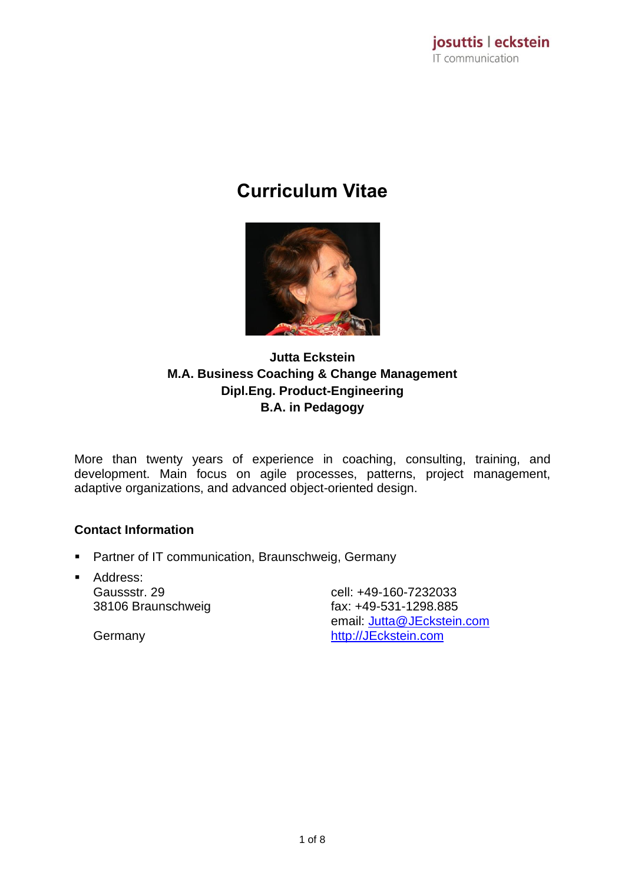# **Curriculum Vitae**



## **Jutta Eckstein M.A. Business Coaching & Change Management Dipl.Eng. Product-Engineering B.A. in Pedagogy**

More than twenty years of experience in coaching, consulting, training, and development. Main focus on agile processes, patterns, project management, adaptive organizations, and advanced object-oriented design.

## **Contact Information**

- Partner of IT communication, Braunschweig, Germany
- Address: Gaussstr. 29 38106 Braunschweig

cell: +49-160-7232033 fax: +49-531-1298.885 email: [Jutta@JEckstein.com](mailto:Jutta@JEckstein.com) [http://JEckstein.com](http://jeckstein.com/)

Germany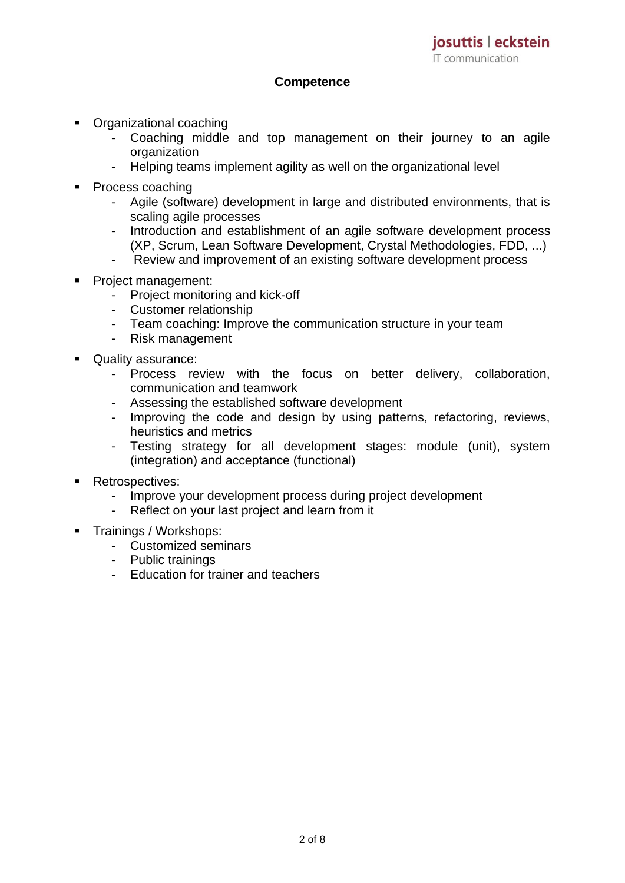#### **Competence**

- Organizational coaching
	- Coaching middle and top management on their journey to an agile organization
	- Helping teams implement agility as well on the organizational level
- Process coaching
	- Agile (software) development in large and distributed environments, that is scaling agile processes
	- Introduction and establishment of an agile software development process (XP, Scrum, Lean Software Development, Crystal Methodologies, FDD, ...)
	- Review and improvement of an existing software development process
- Project management:
	- Project monitoring and kick-off
	- Customer relationship
	- Team coaching: Improve the communication structure in your team
	- Risk management
- Quality assurance:
	- Process review with the focus on better delivery, collaboration, communication and teamwork
	- Assessing the established software development
	- Improving the code and design by using patterns, refactoring, reviews, heuristics and metrics
	- Testing strategy for all development stages: module (unit), system (integration) and acceptance (functional)
- Retrospectives:
	- Improve your development process during project development
	- Reflect on your last project and learn from it
- Trainings / Workshops:
	- Customized seminars
	- Public trainings
	- Education for trainer and teachers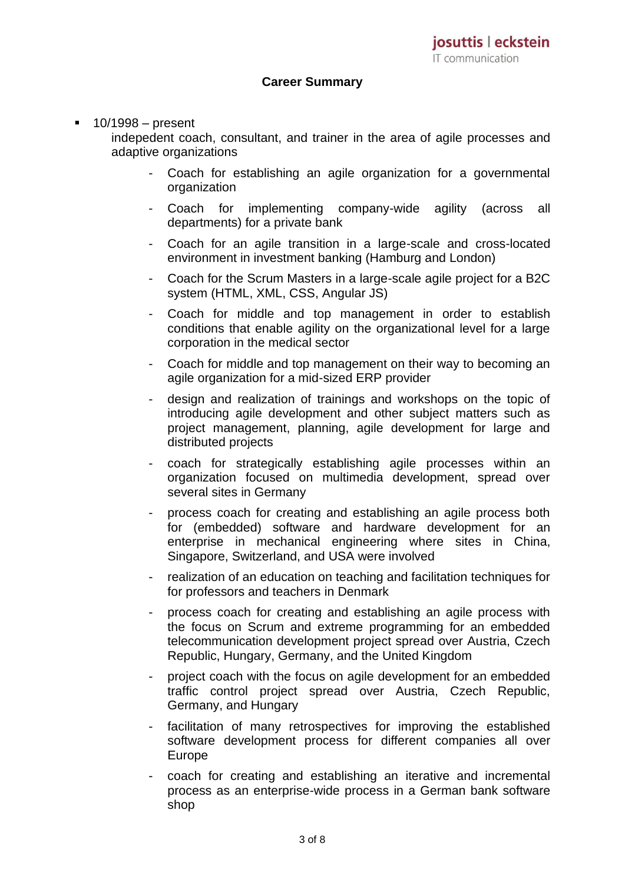#### **Career Summary**

#### $10/1998 -$  present

indepedent coach, consultant, and trainer in the area of agile processes and adaptive organizations

- Coach for establishing an agile organization for a governmental organization
- Coach for implementing company-wide agility (across all departments) for a private bank
- Coach for an agile transition in a large-scale and cross-located environment in investment banking (Hamburg and London)
- Coach for the Scrum Masters in a large-scale agile project for a B2C system (HTML, XML, CSS, Angular JS)
- Coach for middle and top management in order to establish conditions that enable agility on the organizational level for a large corporation in the medical sector
- Coach for middle and top management on their way to becoming an agile organization for a mid-sized ERP provider
- design and realization of trainings and workshops on the topic of introducing agile development and other subject matters such as project management, planning, agile development for large and distributed projects
- coach for strategically establishing agile processes within an organization focused on multimedia development, spread over several sites in Germany
- process coach for creating and establishing an agile process both for (embedded) software and hardware development for an enterprise in mechanical engineering where sites in China, Singapore, Switzerland, and USA were involved
- realization of an education on teaching and facilitation techniques for for professors and teachers in Denmark
- process coach for creating and establishing an agile process with the focus on Scrum and extreme programming for an embedded telecommunication development project spread over Austria, Czech Republic, Hungary, Germany, and the United Kingdom
- project coach with the focus on agile development for an embedded traffic control project spread over Austria, Czech Republic, Germany, and Hungary
- facilitation of many retrospectives for improving the established software development process for different companies all over Europe
- coach for creating and establishing an iterative and incremental process as an enterprise-wide process in a German bank software shop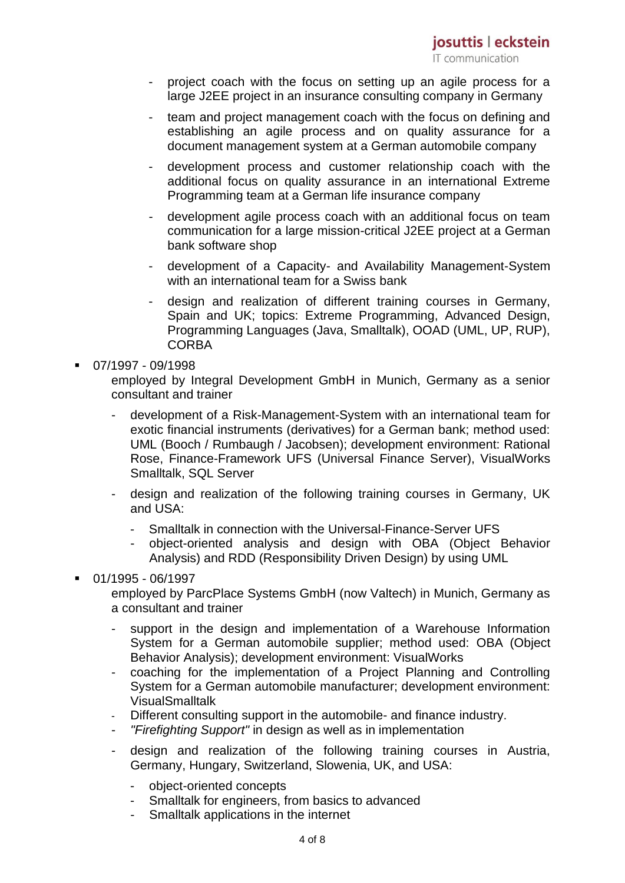- project coach with the focus on setting up an agile process for a large J2EE project in an insurance consulting company in Germany
- team and project management coach with the focus on defining and establishing an agile process and on quality assurance for a document management system at a German automobile company
- development process and customer relationship coach with the additional focus on quality assurance in an international Extreme Programming team at a German life insurance company
- development agile process coach with an additional focus on team communication for a large mission-critical J2EE project at a German bank software shop
- development of a Capacity- and Availability Management-System with an international team for a Swiss bank
- design and realization of different training courses in Germany, Spain and UK; topics: Extreme Programming, Advanced Design, Programming Languages (Java, Smalltalk), OOAD (UML, UP, RUP), **CORBA**
- 07/1997 09/1998

employed by Integral Development GmbH in Munich, Germany as a senior consultant and trainer

- development of a Risk-Management-System with an international team for exotic financial instruments (derivatives) for a German bank; method used: UML (Booch / Rumbaugh / Jacobsen); development environment: Rational Rose, Finance-Framework UFS (Universal Finance Server), VisualWorks Smalltalk, SQL Server
- design and realization of the following training courses in Germany, UK and USA:
	- Smalltalk in connection with the Universal-Finance-Server UFS
	- object-oriented analysis and design with OBA (Object Behavior Analysis) and RDD (Responsibility Driven Design) by using UML
- 01/1995 06/1997
	- employed by ParcPlace Systems GmbH (now Valtech) in Munich, Germany as a consultant and trainer
		- support in the design and implementation of a Warehouse Information System for a German automobile supplier; method used: OBA (Object Behavior Analysis); development environment: VisualWorks
		- coaching for the implementation of a Project Planning and Controlling System for a German automobile manufacturer; development environment: **VisualSmalltalk**
		- Different consulting support in the automobile- and finance industry.
		- *"Firefighting Support"* in design as well as in implementation
		- design and realization of the following training courses in Austria, Germany, Hungary, Switzerland, Slowenia, UK, and USA:
			- object-oriented concepts
			- Smalltalk for engineers, from basics to advanced
			- Smalltalk applications in the internet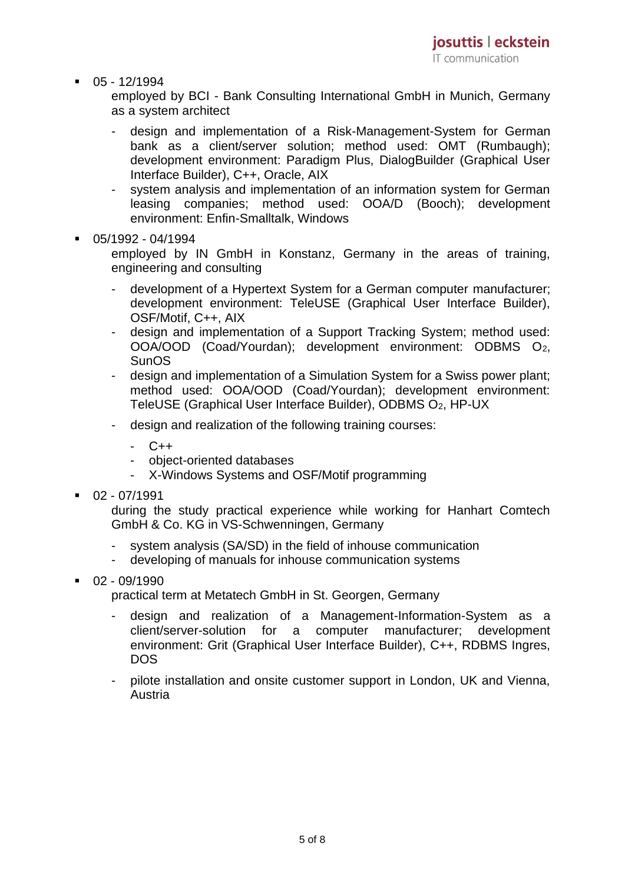$-05 - 12/1994$ 

employed by BCI - Bank Consulting International GmbH in Munich, Germany as a system architect

- design and implementation of a Risk-Management-System for German bank as a client/server solution; method used: OMT (Rumbaugh); development environment: Paradigm Plus, DialogBuilder (Graphical User Interface Builder), C++, Oracle, AIX
- system analysis and implementation of an information system for German leasing companies; method used: OOA/D (Booch); development environment: Enfin-Smalltalk, Windows
- 05/1992 04/1994

employed by IN GmbH in Konstanz, Germany in the areas of training, engineering and consulting

- development of a Hypertext System for a German computer manufacturer; development environment: TeleUSE (Graphical User Interface Builder), OSF/Motif, C++, AIX
- design and implementation of a Support Tracking System; method used: OOA/OOD (Coad/Yourdan); development environment: ODBMS O2, **SunOS**
- design and implementation of a Simulation System for a Swiss power plant; method used: OOA/OOD (Coad/Yourdan); development environment: TeleUSE (Graphical User Interface Builder), ODBMS O2, HP-UX
- design and realization of the following training courses:
	- C++
	- object-oriented databases
	- X-Windows Systems and OSF/Motif programming
- $\blacksquare$  02 07/1991

during the study practical experience while working for Hanhart Comtech GmbH & Co. KG in VS-Schwenningen, Germany

- system analysis (SA/SD) in the field of inhouse communication
- developing of manuals for inhouse communication systems
- $\blacksquare$  02 09/1990

practical term at Metatech GmbH in St. Georgen, Germany

- design and realization of a Management-Information-System as a client/server-solution for a computer manufacturer; development environment: Grit (Graphical User Interface Builder), C++, RDBMS Ingres, DOS
- pilote installation and onsite customer support in London, UK and Vienna, Austria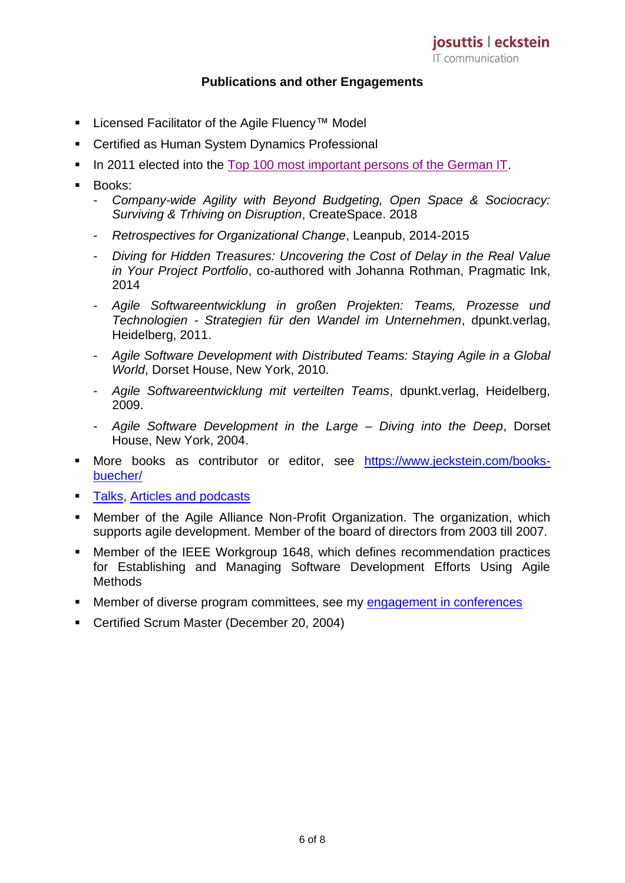#### **Publications and other Engagements**

- Licensed Facilitator of the Agile Fluency™ Model
- Certified as Human System Dynamics Professional
- **In 2011 elected into the [Top 100 most important persons of the German IT.](http://www.computerwoche.de/g/top-100-die-wichtigsten-persoenlichkeiten-in-der-deutschen-itk-landschaft,102088,88)**
- Books:
	- *Company-wide Agility with Beyond Budgeting, Open Space & Sociocracy: Surviving & Trhiving on Disruption*, CreateSpace. 2018
	- *Retrospectives for Organizational Change*, Leanpub, 2014-2015
	- *Diving for Hidden Treasures: Uncovering the Cost of Delay in the Real Value in Your Project Portfolio*, co-authored with Johanna Rothman, Pragmatic Ink, 2014
	- *Agile Softwareentwicklung in großen Projekten: Teams, Prozesse und Technologien - Strategien für den Wandel im Unternehmen*, dpunkt.verlag, Heidelberg, 2011.
	- *Agile Software Development with Distributed Teams: Staying Agile in a Global World*, Dorset House, New York, 2010.
	- *Agile Softwareentwicklung mit verteilten Teams*, dpunkt.verlag, Heidelberg, 2009.
	- *Agile Software Development in the Large – Diving into the Deep*, Dorset House, New York, 2004.
- More books as contributor or editor, see [https://www.jeckstein.com/books](https://www.jeckstein.com/books-buecher/)[buecher/](https://www.jeckstein.com/books-buecher/)
- [Talks,](Talks) Articles and [podcasts](https://www.jeckstein.com/podcasts-articles/)
- **■** Member of the Agile Alliance Non-Profit Organization. The organization, which supports agile development. Member of the board of directors from 2003 till 2007.
- Member of the IEEE Workgroup 1648, which defines recommendation practices for Establishing and Managing Software Development Efforts Using Agile Methods
- Member of diverse program committees, see my [engagement in conferences](https://www.jeckstein.com/engagement-in-conferences/)
- Certified Scrum Master (December 20, 2004)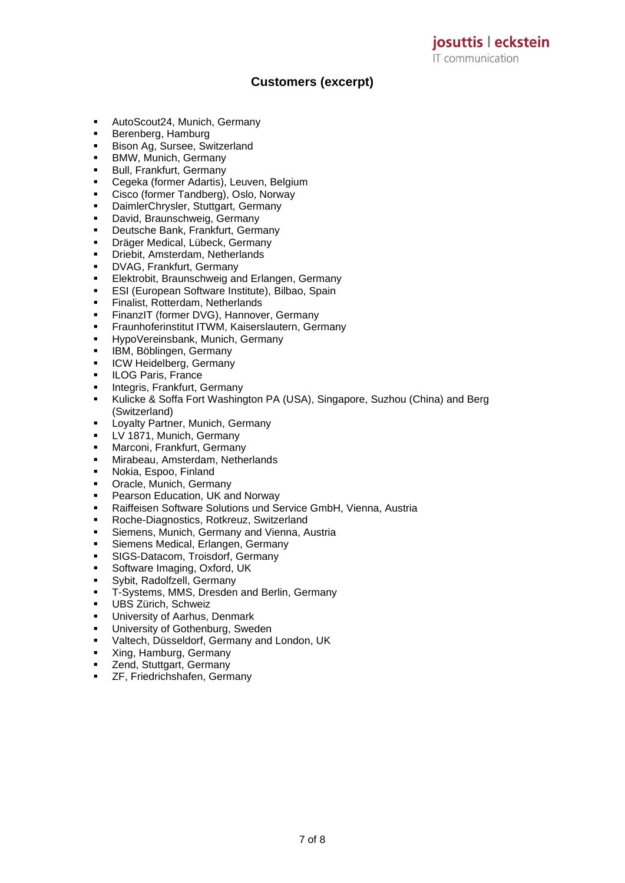**Customers (excerpt)**

- AutoScout24, Munich, Germany
- Berenberg, Hamburg
- **Bison Ag, Sursee, Switzerland**
- **BMW, Munich, Germany**
- **■** Bull, Frankfurt, Germany
- Cegeka (former Adartis), Leuven, Belgium
- Cisco (former Tandberg), Oslo, Norway
- DaimlerChrysler, Stuttgart, Germany
- David, Braunschweig, Germany
- Deutsche Bank, Frankfurt, Germany
- Dräger Medical, Lübeck, Germany
- **·** Driebit, Amsterdam, Netherlands
- **DVAG, Frankfurt, Germany**
- Elektrobit, Braunschweig and Erlangen, Germany
- ESI (European Software Institute), Bilbao, Spain
- **·** Finalist, Rotterdam, Netherlands
- **EXECT:** FinanzIT (former DVG), Hannover, Germany
- **EXECTED Fraunhoferinstitut ITWM, Kaiserslautern, Germany**
- HypoVereinsbank, Munich, Germany
- **IBM, Böblingen, Germany**
- **·** ICW Heidelberg, Germany
- ILOG Paris, France
- **·** Integris, Frankfurt, Germany
- Kulicke & Soffa Fort Washington PA (USA), Singapore, Suzhou (China) and Berg (Switzerland)
- **E.** Lovalty Partner, Munich, Germany
- LV 1871, Munich, Germany
- **■** Marconi, Frankfurt, Germany
- Mirabeau, Amsterdam, Netherlands
- Nokia, Espoo, Finland
- **•** Oracle, Munich, Germany
- Pearson Education, UK and Norway
- Raiffeisen Software Solutions und Service GmbH, Vienna, Austria
- Roche-Diagnostics, Rotkreuz, Switzerland
- **EXE** Siemens, Munich, Germany and Vienna, Austria
- **EXECT:** Siemens Medical, Erlangen, Germany
- **·** SIGS-Datacom, Troisdorf, Germany
- Software Imaging, Oxford, UK
- Sybit, Radolfzell, Germany
- T-Systems, MMS, Dresden and Berlin, Germany
- **UBS Zürich, Schweiz**
- University of Aarhus, Denmark
- University of Gothenburg, Sweden
- Valtech, Düsseldorf, Germany and London, UK
- Xing, Hamburg, Germany
- **EXECTE 75**<br>**EXECTE Stuttgart, Germany**
- ZF, Friedrichshafen, Germany